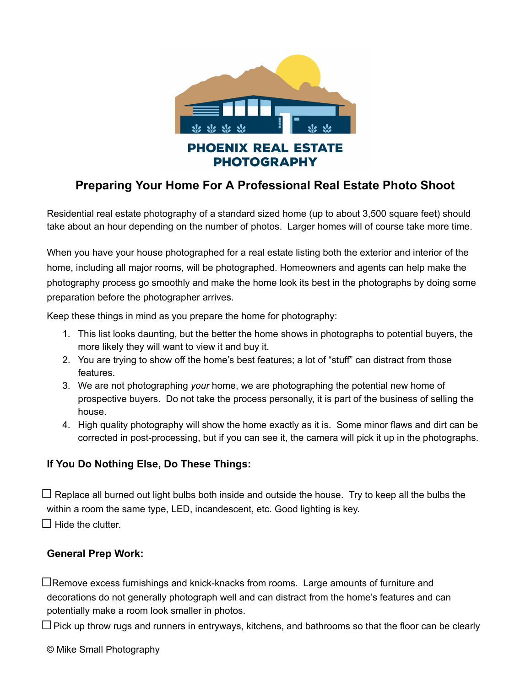

# Preparing Your Home For A Professional Real Estate Photo Shoot

Residential real estate photography of a standard sized home (up to about 3,500 square feet) should take about an hour depending on the number of photos. Larger homes will of course take more time.

When you have your house photographed for a real estate listing both the exterior and interior of the home, including all major rooms, will be photographed. Homeowners and agents can help make the photography process go smoothly and make the home look its best in the photographs by doing some preparation before the photographer arrives.

Keep these things in mind as you prepare the home for photography:

- 1. This list looks daunting, but the better the home shows in photographs to potential buyers, the more likely they will want to view it and buy it.
- 2. You are trying to show off the home's best features; a lot of "stuff" can distract from those features.
- 3. We are not photographing your home, we are photographing the potential new home of prospective buyers. Do not take the process personally, it is part of the business of selling the house.
- 4. High quality photography will show the home exactly as it is. Some minor flaws and dirt can be corrected in post-processing, but if you can see it, the camera will pick it up in the photographs.

# If You Do Nothing Else, Do These Things:

 $\Box$  Replace all burned out light bulbs both inside and outside the house. Try to keep all the bulbs the within a room the same type, LED, incandescent, etc. Good lighting is key.  $\Box$  Hide the clutter.

# General Prep Work:

⃞Remove excess furnishings and knick-knacks from rooms. Large amounts of furniture and decorations do not generally photograph well and can distract from the home's features and can potentially make a room look smaller in photos.

 $\Box$  Pick up throw rugs and runners in entryways, kitchens, and bathrooms so that the floor can be clearly

© Mike Small Photography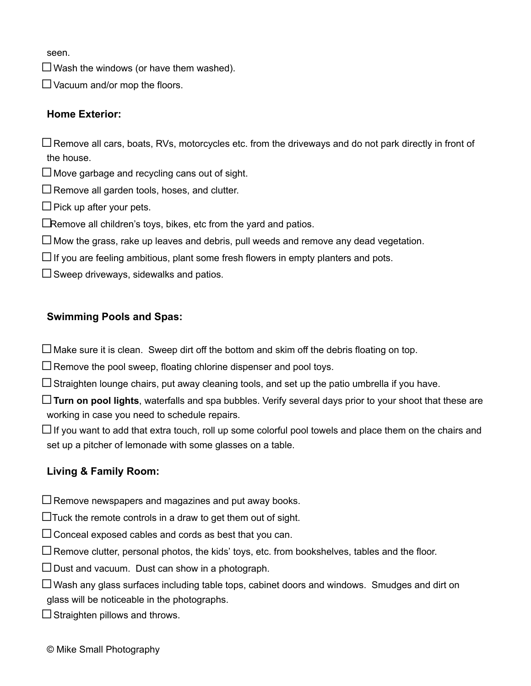seen.

 $\Box$  Wash the windows (or have them washed).

 $\Box$  Vacuum and/or mop the floors.

# Home Exterior:

 $\Box$  Remove all cars, boats, RVs, motorcycles etc. from the driveways and do not park directly in front of the house.

 $\Box$  Move garbage and recycling cans out of sight.

 $\Box$  Remove all garden tools, hoses, and clutter.

 $\Box$  Pick up after your pets.

ERemove all children's toys, bikes, etc from the yard and patios.

 $\Box$  Mow the grass, rake up leaves and debris, pull weeds and remove any dead vegetation.

 $\Box$  If you are feeling ambitious, plant some fresh flowers in empty planters and pots.

 $\square$  Sweep driveways, sidewalks and patios.

# Swimming Pools and Spas:

 $\Box$  Make sure it is clean. Sweep dirt off the bottom and skim off the debris floating on top.

 $\Box$  Remove the pool sweep, floating chlorine dispenser and pool toys.

 $\Box$  Straighten lounge chairs, put away cleaning tools, and set up the patio umbrella if you have.

 $\Box$  Turn on pool lights, waterfalls and spa bubbles. Verify several days prior to your shoot that these are working in case you need to schedule repairs.

 $\square$  If you want to add that extra touch, roll up some colorful pool towels and place them on the chairs and set up a pitcher of lemonade with some glasses on a table.

# Living & Family Room:

 $\Box$  Remove newspapers and magazines and put away books.

 $\Box$ Tuck the remote controls in a draw to get them out of sight.

 $\Box$  Conceal exposed cables and cords as best that you can.

⃞Remove clutter, personal photos, the kids' toys, etc. from bookshelves, tables and the floor.

 $\square$  Dust and vacuum. Dust can show in a photograph.

 $\Box$  Wash any glass surfaces including table tops, cabinet doors and windows. Smudges and dirt on glass will be noticeable in the photographs.

 $\Box$  Straighten pillows and throws.

© Mike Small Photography